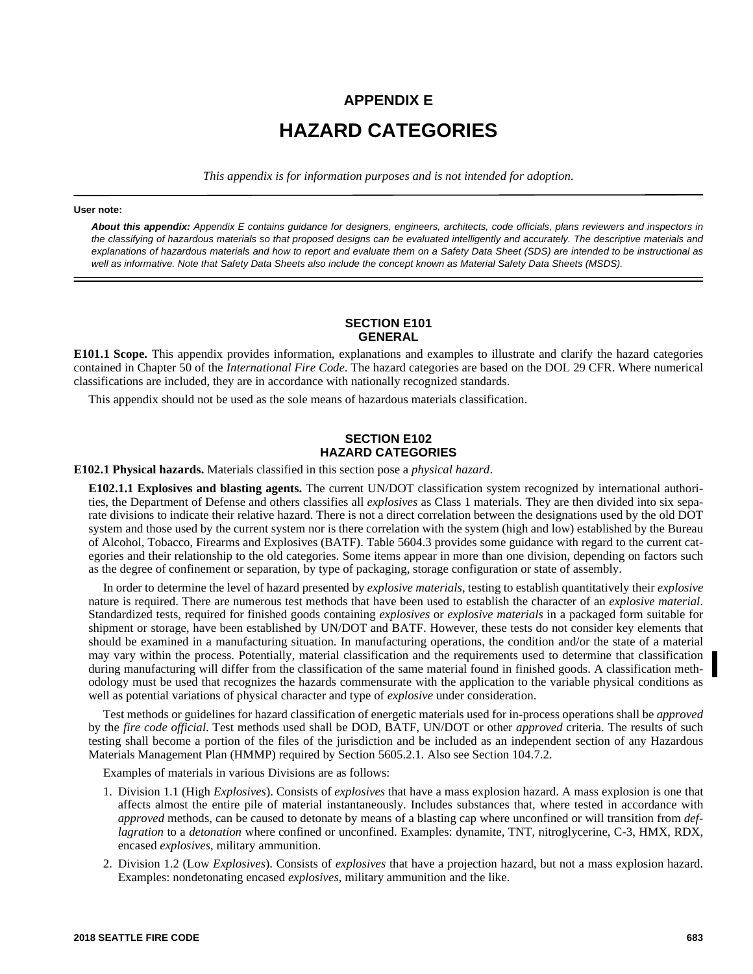# **APPENDIX E HAZARD CATEGORIES**

*This appendix is for information purposes and is not intended for adoption.*

#### **User note:**

*About this appendix: Appendix E contains guidance for designers, engineers, architects, code officials, plans reviewers and inspectors in the classifying of hazardous materials so that proposed designs can be evaluated intelligently and accurately. The descriptive materials and explanations of hazardous materials and how to report and evaluate them on a Safety Data Sheet (SDS) are intended to be instructional as well as informative. Note that Safety Data Sheets also include the concept known as Material Safety Data Sheets (MSDS).*

## **SECTION E101 GENERAL**

**E101.1 Scope.** This appendix provides information, explanations and examples to illustrate and clarify the hazard categories contained in Chapter 50 of the *International Fire Code*. The hazard categories are based on the DOL 29 CFR. Where numerical classifications are included, they are in accordance with nationally recognized standards.

This appendix should not be used as the sole means of hazardous materials classification.

## **SECTION E102 HAZARD CATEGORIES**

#### **E102.1 Physical hazards.** Materials classified in this section pose a *physical hazard*.

**E102.1.1 Explosives and blasting agents.** The current UN/DOT classification system recognized by international authorities, the Department of Defense and others classifies all *explosives* as Class 1 materials. They are then divided into six separate divisions to indicate their relative hazard. There is not a direct correlation between the designations used by the old DOT system and those used by the current system nor is there correlation with the system (high and low) established by the Bureau of Alcohol, Tobacco, Firearms and Explosives (BATF). Table 5604.3 provides some guidance with regard to the current categories and their relationship to the old categories. Some items appear in more than one division, depending on factors such as the degree of confinement or separation, by type of packaging, storage configuration or state of assembly.

In order to determine the level of hazard presented by *explosive materials*, testing to establish quantitatively their *explosive* nature is required. There are numerous test methods that have been used to establish the character of an *explosive material*. Standardized tests, required for finished goods containing *explosives* or *explosive materials* in a packaged form suitable for shipment or storage, have been established by UN/DOT and BATF. However, these tests do not consider key elements that should be examined in a manufacturing situation. In manufacturing operations, the condition and/or the state of a material may vary within the process. Potentially, material classification and the requirements used to determine that classification during manufacturing will differ from the classification of the same material found in finished goods. A classification methodology must be used that recognizes the hazards commensurate with the application to the variable physical conditions as well as potential variations of physical character and type of *explosive* under consideration.

Test methods or guidelines for hazard classification of energetic materials used for in-process operations shall be *approved* by the *fire code official*. Test methods used shall be DOD, BATF, UN/DOT or other *approved* criteria. The results of such testing shall become a portion of the files of the jurisdiction and be included as an independent section of any Hazardous Materials Management Plan (HMMP) required by Section 5605.2.1*.* Also see Section 104.7.2.

Examples of materials in various Divisions are as follows:

- 1. Division 1.1 (High *Explosives*). Consists of *explosives* that have a mass explosion hazard. A mass explosion is one that affects almost the entire pile of material instantaneously. Includes substances that, where tested in accordance with *approved* methods, can be caused to detonate by means of a blasting cap where unconfined or will transition from *deflagration* to a *detonation* where confined or unconfined. Examples: dynamite, TNT, nitroglycerine, C-3, HMX, RDX, encased *explosives*, military ammunition.
- 2. Division 1.2 (Low *Explosives*). Consists of *explosives* that have a projection hazard, but not a mass explosion hazard. Examples: nondetonating encased *explosives*, military ammunition and the like.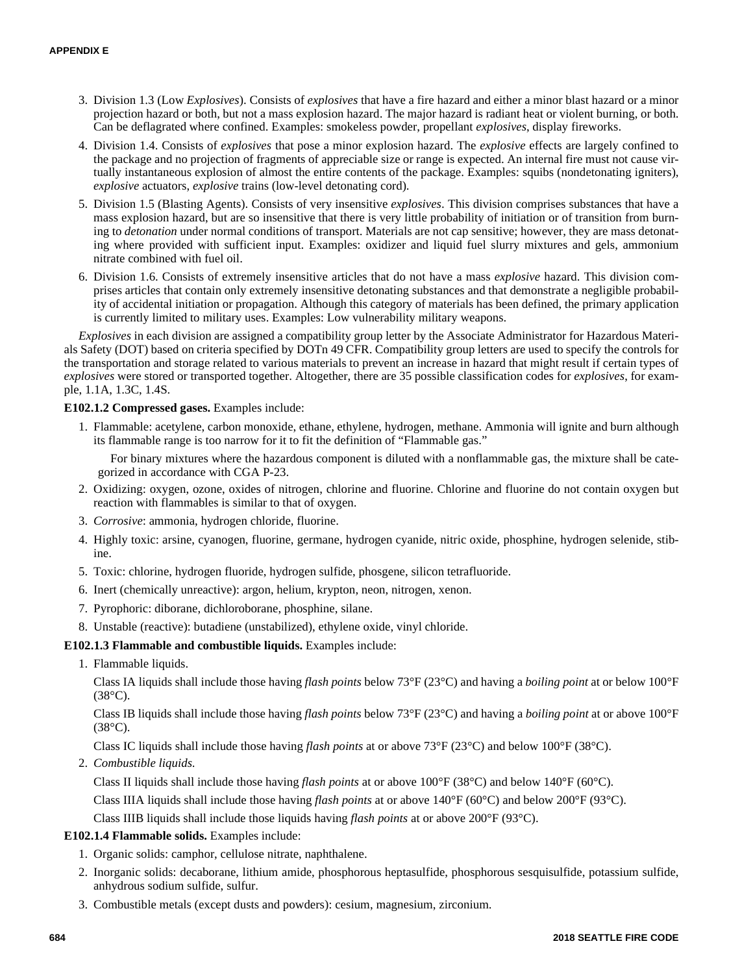- 3. Division 1.3 (Low *Explosives*). Consists of *explosives* that have a fire hazard and either a minor blast hazard or a minor projection hazard or both, but not a mass explosion hazard. The major hazard is radiant heat or violent burning, or both. Can be deflagrated where confined. Examples: smokeless powder, propellant *explosives*, display fireworks.
- 4. Division 1.4. Consists of *explosives* that pose a minor explosion hazard. The *explosive* effects are largely confined to the package and no projection of fragments of appreciable size or range is expected. An internal fire must not cause virtually instantaneous explosion of almost the entire contents of the package. Examples: squibs (nondetonating igniters), *explosive* actuators, *explosive* trains (low-level detonating cord).
- 5. Division 1.5 (Blasting Agents). Consists of very insensitive *explosives*. This division comprises substances that have a mass explosion hazard, but are so insensitive that there is very little probability of initiation or of transition from burning to *detonation* under normal conditions of transport. Materials are not cap sensitive; however, they are mass detonating where provided with sufficient input. Examples: oxidizer and liquid fuel slurry mixtures and gels, ammonium nitrate combined with fuel oil.
- 6. Division 1.6. Consists of extremely insensitive articles that do not have a mass *explosive* hazard. This division comprises articles that contain only extremely insensitive detonating substances and that demonstrate a negligible probability of accidental initiation or propagation. Although this category of materials has been defined, the primary application is currently limited to military uses. Examples: Low vulnerability military weapons.

*Explosives* in each division are assigned a compatibility group letter by the Associate Administrator for Hazardous Materials Safety (DOT) based on criteria specified by DOTn 49 CFR. Compatibility group letters are used to specify the controls for the transportation and storage related to various materials to prevent an increase in hazard that might result if certain types of *explosives* were stored or transported together. Altogether, there are 35 possible classification codes for *explosives*, for example, 1.1A, 1.3C, 1.4S.

## **E102.1.2 Compressed gases.** Examples include:

1. Flammable: acetylene, carbon monoxide, ethane, ethylene, hydrogen, methane. Ammonia will ignite and burn although its flammable range is too narrow for it to fit the definition of "Flammable gas."

For binary mixtures where the hazardous component is diluted with a nonflammable gas, the mixture shall be categorized in accordance with CGA P-23.

- 2. Oxidizing: oxygen, ozone, oxides of nitrogen, chlorine and fluorine. Chlorine and fluorine do not contain oxygen but reaction with flammables is similar to that of oxygen.
- 3. *Corrosive*: ammonia, hydrogen chloride, fluorine.
- 4. Highly toxic: arsine, cyanogen, fluorine, germane, hydrogen cyanide, nitric oxide, phosphine, hydrogen selenide, stibine.
- 5. Toxic: chlorine, hydrogen fluoride, hydrogen sulfide, phosgene, silicon tetrafluoride.
- 6. Inert (chemically unreactive): argon, helium, krypton, neon, nitrogen, xenon.
- 7. Pyrophoric: diborane, dichloroborane, phosphine, silane.
- 8. Unstable (reactive): butadiene (unstabilized), ethylene oxide, vinyl chloride.

## **E102.1.3 Flammable and combustible liquids.** Examples include:

1. Flammable liquids.

Class IA liquids shall include those having *flash points* below 73°F (23°C) and having a *boiling point* at or below 100°F  $(38^{\circ}C).$ 

Class IB liquids shall include those having *flash points* below 73°F (23°C) and having a *boiling point* at or above 100°F  $(38^{\circ}C)$ .

Class IC liquids shall include those having *flash points* at or above 73°F (23°C) and below 100°F (38°C).

2. *Combustible liquids*.

Class II liquids shall include those having *flash points* at or above 100°F (38°C) and below 140°F (60°C).

Class IIIA liquids shall include those having *flash points* at or above 140°F (60°C) and below 200°F (93°C).

Class IIIB liquids shall include those liquids having *flash points* at or above 200°F (93°C).

## **E102.1.4 Flammable solids.** Examples include:

- 1. Organic solids: camphor, cellulose nitrate, naphthalene.
- 2. Inorganic solids: decaborane, lithium amide, phosphorous heptasulfide, phosphorous sesquisulfide, potassium sulfide, anhydrous sodium sulfide, sulfur.
- 3. Combustible metals (except dusts and powders): cesium, magnesium, zirconium.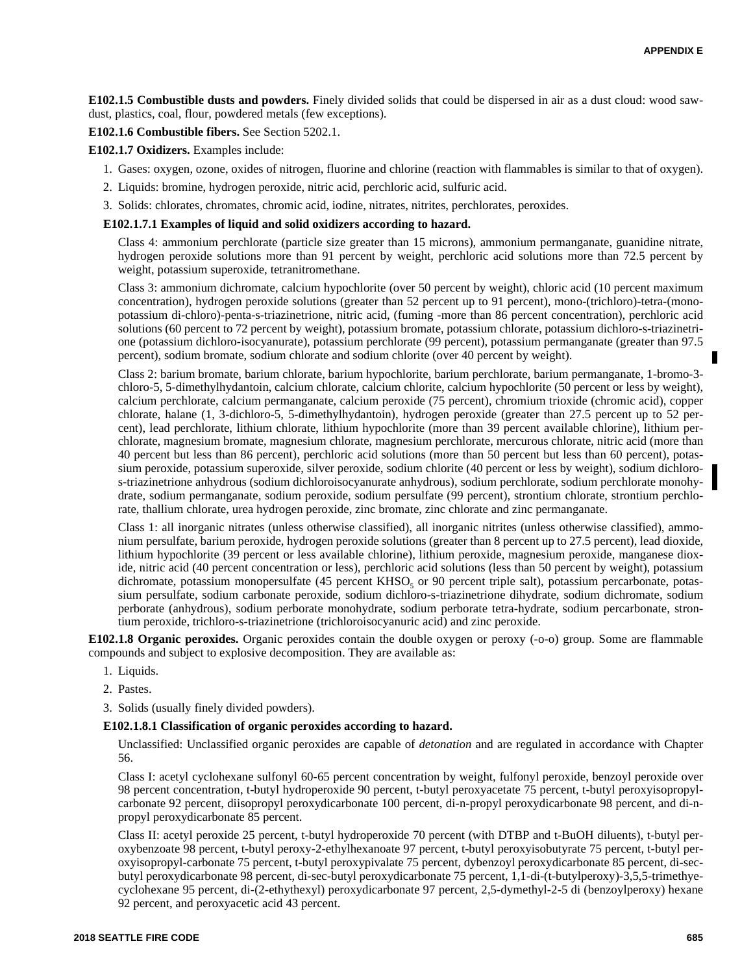**E102.1.5 Combustible dusts and powders.** Finely divided solids that could be dispersed in air as a dust cloud: wood sawdust, plastics, coal, flour, powdered metals (few exceptions).

**E102.1.6 Combustible fibers.** See Section 5202.1.

**E102.1.7 Oxidizers.** Examples include:

- 1. Gases: oxygen, ozone, oxides of nitrogen, fluorine and chlorine (reaction with flammables is similar to that of oxygen).
- 2. Liquids: bromine, hydrogen peroxide, nitric acid, perchloric acid, sulfuric acid.
- 3. Solids: chlorates, chromates, chromic acid, iodine, nitrates, nitrites, perchlorates, peroxides.

#### **E102.1.7.1 Examples of liquid and solid oxidizers according to hazard.**

Class 4: ammonium perchlorate (particle size greater than 15 microns), ammonium permanganate, guanidine nitrate, hydrogen peroxide solutions more than 91 percent by weight, perchloric acid solutions more than 72.5 percent by weight, potassium superoxide, tetranitromethane.

Class 3: ammonium dichromate, calcium hypochlorite (over 50 percent by weight), chloric acid (10 percent maximum concentration), hydrogen peroxide solutions (greater than 52 percent up to 91 percent), mono-(trichloro)-tetra-(monopotassium di-chloro)-penta-s-triazinetrione, nitric acid, (fuming -more than 86 percent concentration), perchloric acid solutions (60 percent to 72 percent by weight), potassium bromate, potassium chlorate, potassium dichloro-s-triazinetrione (potassium dichloro-isocyanurate), potassium perchlorate (99 percent), potassium permanganate (greater than 97.5 percent), sodium bromate, sodium chlorate and sodium chlorite (over 40 percent by weight).

Class 2: barium bromate, barium chlorate, barium hypochlorite, barium perchlorate, barium permanganate, 1-bromo-3 chloro-5, 5-dimethylhydantoin, calcium chlorate, calcium chlorite, calcium hypochlorite (50 percent or less by weight), calcium perchlorate, calcium permanganate, calcium peroxide (75 percent), chromium trioxide (chromic acid), copper chlorate, halane (1, 3-dichloro-5, 5-dimethylhydantoin), hydrogen peroxide (greater than 27.5 percent up to 52 percent), lead perchlorate, lithium chlorate, lithium hypochlorite (more than 39 percent available chlorine), lithium perchlorate, magnesium bromate, magnesium chlorate, magnesium perchlorate, mercurous chlorate, nitric acid (more than 40 percent but less than 86 percent), perchloric acid solutions (more than 50 percent but less than 60 percent), potassium peroxide, potassium superoxide, silver peroxide, sodium chlorite (40 percent or less by weight), sodium dichloros-triazinetrione anhydrous (sodium dichloroisocyanurate anhydrous), sodium perchlorate, sodium perchlorate monohydrate, sodium permanganate, sodium peroxide, sodium persulfate (99 percent), strontium chlorate, strontium perchlorate, thallium chlorate, urea hydrogen peroxide, zinc bromate, zinc chlorate and zinc permanganate.

Class 1: all inorganic nitrates (unless otherwise classified), all inorganic nitrites (unless otherwise classified), ammonium persulfate, barium peroxide, hydrogen peroxide solutions (greater than 8 percent up to 27.5 percent), lead dioxide, lithium hypochlorite (39 percent or less available chlorine), lithium peroxide, magnesium peroxide, manganese dioxide, nitric acid (40 percent concentration or less), perchloric acid solutions (less than 50 percent by weight), potassium dichromate, potassium monopersulfate (45 percent KHSO<sub>5</sub> or 90 percent triple salt), potassium percarbonate, potassium persulfate, sodium carbonate peroxide, sodium dichloro-s-triazinetrione dihydrate, sodium dichromate, sodium perborate (anhydrous), sodium perborate monohydrate, sodium perborate tetra-hydrate, sodium percarbonate, strontium peroxide, trichloro-s-triazinetrione (trichloroisocyanuric acid) and zinc peroxide.

**E102.1.8 Organic peroxides.** Organic peroxides contain the double oxygen or peroxy (-o-o) group. Some are flammable compounds and subject to explosive decomposition. They are available as:

- 1. Liquids.
- 2. Pastes.
- 3. Solids (usually finely divided powders).

#### **E102.1.8.1 Classification of organic peroxides according to hazard.**

Unclassified: Unclassified organic peroxides are capable of *detonation* and are regulated in accordance with Chapter 56.

Class I: acetyl cyclohexane sulfonyl 60-65 percent concentration by weight, fulfonyl peroxide, benzoyl peroxide over 98 percent concentration, t-butyl hydroperoxide 90 percent, t-butyl peroxyacetate 75 percent, t-butyl peroxyisopropylcarbonate 92 percent, diisopropyl peroxydicarbonate 100 percent, di-n-propyl peroxydicarbonate 98 percent, and di-npropyl peroxydicarbonate 85 percent.

Class II: acetyl peroxide 25 percent, t-butyl hydroperoxide 70 percent (with DTBP and t-BuOH diluents), t-butyl peroxybenzoate 98 percent, t-butyl peroxy-2-ethylhexanoate 97 percent, t-butyl peroxyisobutyrate 75 percent, t-butyl peroxyisopropyl-carbonate 75 percent, t-butyl peroxypivalate 75 percent, dybenzoyl peroxydicarbonate 85 percent, di-secbutyl peroxydicarbonate 98 percent, di-sec-butyl peroxydicarbonate 75 percent, 1,1-di-(t-butylperoxy)-3,5,5-trimethyecyclohexane 95 percent, di-(2-ethythexyl) peroxydicarbonate 97 percent, 2,5-dymethyl-2-5 di (benzoylperoxy) hexane 92 percent, and peroxyacetic acid 43 percent.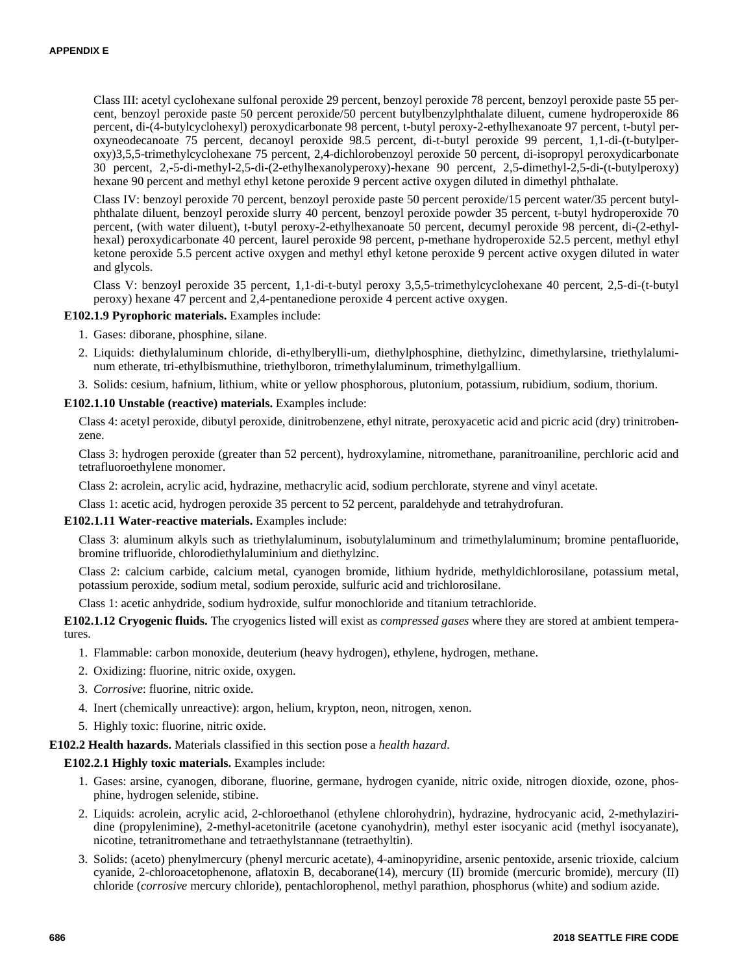Class III: acetyl cyclohexane sulfonal peroxide 29 percent, benzoyl peroxide 78 percent, benzoyl peroxide paste 55 percent, benzoyl peroxide paste 50 percent peroxide/50 percent butylbenzylphthalate diluent, cumene hydroperoxide 86 percent, di-(4-butylcyclohexyl) peroxydicarbonate 98 percent, t-butyl peroxy-2-ethylhexanoate 97 percent, t-butyl peroxyneodecanoate 75 percent, decanoyl peroxide 98.5 percent, di-t-butyl peroxide 99 percent, 1,1-di-(t-butylperoxy)3,5,5-trimethylcyclohexane 75 percent, 2,4-dichlorobenzoyl peroxide 50 percent, di-isopropyl peroxydicarbonate 30 percent, 2,-5-di-methyl-2,5-di-(2-ethylhexanolyperoxy)-hexane 90 percent, 2,5-dimethyl-2,5-di-(t-butylperoxy) hexane 90 percent and methyl ethyl ketone peroxide 9 percent active oxygen diluted in dimethyl phthalate.

Class IV: benzoyl peroxide 70 percent, benzoyl peroxide paste 50 percent peroxide/15 percent water/35 percent butylphthalate diluent, benzoyl peroxide slurry 40 percent, benzoyl peroxide powder 35 percent, t-butyl hydroperoxide 70 percent, (with water diluent), t-butyl peroxy-2-ethylhexanoate 50 percent, decumyl peroxide 98 percent, di-(2-ethylhexal) peroxydicarbonate 40 percent, laurel peroxide 98 percent, p-methane hydroperoxide 52.5 percent, methyl ethyl ketone peroxide 5.5 percent active oxygen and methyl ethyl ketone peroxide 9 percent active oxygen diluted in water and glycols.

Class V: benzoyl peroxide 35 percent, 1,1-di-t-butyl peroxy 3,5,5-trimethylcyclohexane 40 percent, 2,5-di-(t-butyl peroxy) hexane 47 percent and 2,4-pentanedione peroxide 4 percent active oxygen.

### **E102.1.9 Pyrophoric materials.** Examples include:

- 1. Gases: diborane, phosphine, silane.
- 2. Liquids: diethylaluminum chloride, di-ethylberylli-um, diethylphosphine, diethylzinc, dimethylarsine, triethylaluminum etherate, tri-ethylbismuthine, triethylboron, trimethylaluminum, trimethylgallium.
- 3. Solids: cesium, hafnium, lithium, white or yellow phosphorous, plutonium, potassium, rubidium, sodium, thorium.

#### **E102.1.10 Unstable (reactive) materials.** Examples include:

Class 4: acetyl peroxide, dibutyl peroxide, dinitrobenzene, ethyl nitrate, peroxyacetic acid and picric acid (dry) trinitrobenzene.

Class 3: hydrogen peroxide (greater than 52 percent), hydroxylamine, nitromethane, paranitroaniline, perchloric acid and tetrafluoroethylene monomer.

Class 2: acrolein, acrylic acid, hydrazine, methacrylic acid, sodium perchlorate, styrene and vinyl acetate.

Class 1: acetic acid, hydrogen peroxide 35 percent to 52 percent, paraldehyde and tetrahydrofuran.

#### **E102.1.11 Water-reactive materials.** Examples include:

Class 3: aluminum alkyls such as triethylaluminum, isobutylaluminum and trimethylaluminum; bromine pentafluoride, bromine trifluoride, chlorodiethylaluminium and diethylzinc.

Class 2: calcium carbide, calcium metal, cyanogen bromide, lithium hydride, methyldichlorosilane, potassium metal, potassium peroxide, sodium metal, sodium peroxide, sulfuric acid and trichlorosilane.

Class 1: acetic anhydride, sodium hydroxide, sulfur monochloride and titanium tetrachloride.

**E102.1.12 Cryogenic fluids.** The cryogenics listed will exist as *compressed gases* where they are stored at ambient temperatures.

- 1. Flammable: carbon monoxide, deuterium (heavy hydrogen), ethylene, hydrogen, methane.
- 2. Oxidizing: fluorine, nitric oxide, oxygen.
- 3. *Corrosive*: fluorine, nitric oxide.
- 4. Inert (chemically unreactive): argon, helium, krypton, neon, nitrogen, xenon.
- 5. Highly toxic: fluorine, nitric oxide.

### **E102.2 Health hazards.** Materials classified in this section pose a *health hazard*.

#### **E102.2.1 Highly toxic materials.** Examples include:

- 1. Gases: arsine, cyanogen, diborane, fluorine, germane, hydrogen cyanide, nitric oxide, nitrogen dioxide, ozone, phosphine, hydrogen selenide, stibine.
- 2. Liquids: acrolein, acrylic acid, 2-chloroethanol (ethylene chlorohydrin), hydrazine, hydrocyanic acid, 2-methylaziridine (propylenimine), 2-methyl-acetonitrile (acetone cyanohydrin), methyl ester isocyanic acid (methyl isocyanate), nicotine, tetranitromethane and tetraethylstannane (tetraethyltin).
- 3. Solids: (aceto) phenylmercury (phenyl mercuric acetate), 4-aminopyridine, arsenic pentoxide, arsenic trioxide, calcium cyanide, 2-chloroacetophenone, aflatoxin B, decaborane(14), mercury (II) bromide (mercuric bromide), mercury (II) chloride (*corrosive* mercury chloride), pentachlorophenol, methyl parathion, phosphorus (white) and sodium azide.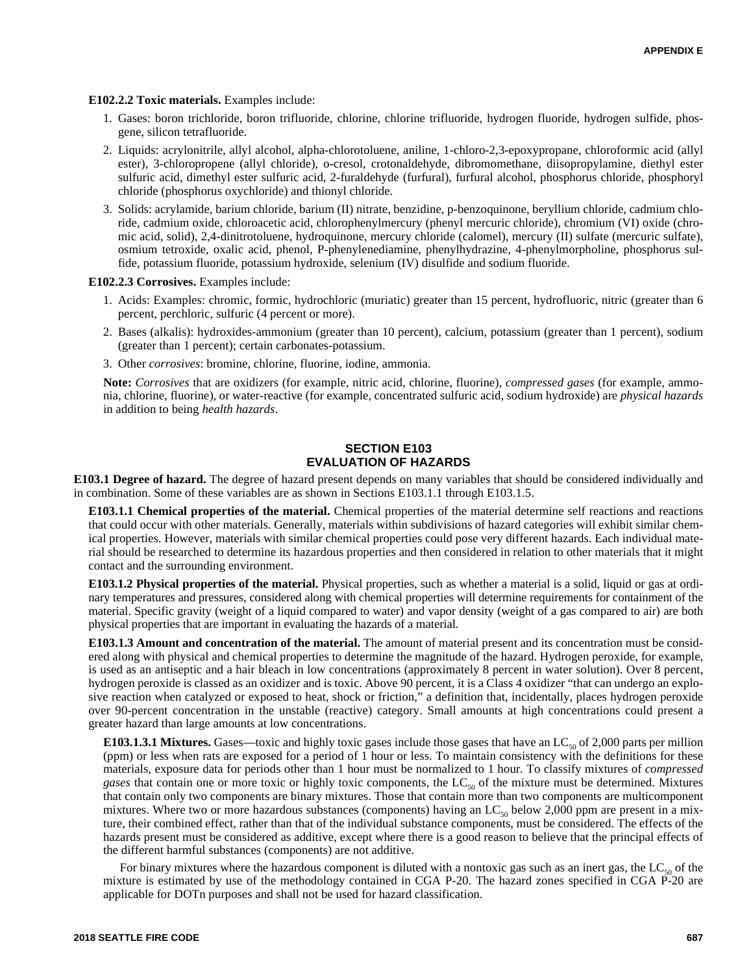#### **E102.2.2 Toxic materials.** Examples include:

- 1. Gases: boron trichloride, boron trifluoride, chlorine, chlorine trifluoride, hydrogen fluoride, hydrogen sulfide, phosgene, silicon tetrafluoride.
- 2. Liquids: acrylonitrile, allyl alcohol, alpha-chlorotoluene, aniline, 1-chloro-2,3-epoxypropane, chloroformic acid (allyl ester), 3-chloropropene (allyl chloride), o-cresol, crotonaldehyde, dibromomethane, diisopropylamine, diethyl ester sulfuric acid, dimethyl ester sulfuric acid, 2-furaldehyde (furfural), furfural alcohol, phosphorus chloride, phosphoryl chloride (phosphorus oxychloride) and thionyl chloride.
- 3. Solids: acrylamide, barium chloride, barium (II) nitrate, benzidine, p-benzoquinone, beryllium chloride, cadmium chloride, cadmium oxide, chloroacetic acid, chlorophenylmercury (phenyl mercuric chloride), chromium (VI) oxide (chromic acid, solid), 2,4-dinitrotoluene, hydroquinone, mercury chloride (calomel), mercury (II) sulfate (mercuric sulfate), osmium tetroxide, oxalic acid, phenol, P-phenylenediamine, phenylhydrazine, 4-phenylmorpholine, phosphorus sulfide, potassium fluoride, potassium hydroxide, selenium (IV) disulfide and sodium fluoride.

**E102.2.3 Corrosives.** Examples include:

- 1. Acids: Examples: chromic, formic, hydrochloric (muriatic) greater than 15 percent, hydrofluoric, nitric (greater than 6 percent, perchloric, sulfuric (4 percent or more).
- 2. Bases (alkalis): hydroxides-ammonium (greater than 10 percent), calcium, potassium (greater than 1 percent), sodium (greater than 1 percent); certain carbonates-potassium.
- 3. Other *corrosives*: bromine, chlorine, fluorine, iodine, ammonia.

**Note:** *Corrosives* that are oxidizers (for example, nitric acid, chlorine, fluorine), *compressed gases* (for example, ammonia, chlorine, fluorine), or water-reactive (for example, concentrated sulfuric acid, sodium hydroxide) are *physical hazards* in addition to being *health hazards*.

## **SECTION E103 EVALUATION OF HAZARDS**

**E103.1 Degree of hazard.** The degree of hazard present depends on many variables that should be considered individually and in combination. Some of these variables are as shown in Sections E103.1.1 through E103.1.5.

**E103.1.1 Chemical properties of the material.** Chemical properties of the material determine self reactions and reactions that could occur with other materials. Generally, materials within subdivisions of hazard categories will exhibit similar chemical properties. However, materials with similar chemical properties could pose very different hazards. Each individual material should be researched to determine its hazardous properties and then considered in relation to other materials that it might contact and the surrounding environment.

**E103.1.2 Physical properties of the material.** Physical properties, such as whether a material is a solid, liquid or gas at ordinary temperatures and pressures, considered along with chemical properties will determine requirements for containment of the material. Specific gravity (weight of a liquid compared to water) and vapor density (weight of a gas compared to air) are both physical properties that are important in evaluating the hazards of a material.

**E103.1.3 Amount and concentration of the material.** The amount of material present and its concentration must be considered along with physical and chemical properties to determine the magnitude of the hazard. Hydrogen peroxide, for example, is used as an antiseptic and a hair bleach in low concentrations (approximately 8 percent in water solution). Over 8 percent, hydrogen peroxide is classed as an oxidizer and is toxic. Above 90 percent, it is a Class 4 oxidizer "that can undergo an explosive reaction when catalyzed or exposed to heat, shock or friction," a definition that, incidentally, places hydrogen peroxide over 90-percent concentration in the unstable (reactive) category. Small amounts at high concentrations could present a greater hazard than large amounts at low concentrations.

**E103.1.3.1 Mixtures.** Gases—toxic and highly toxic gases include those gases that have an  $LC_{s0}$  of 2,000 parts per million (ppm) or less when rats are exposed for a period of 1 hour or less. To maintain consistency with the definitions for these materials, exposure data for periods other than 1 hour must be normalized to 1 hour. To classify mixtures of *compressed gases* that contain one or more toxic or highly toxic components, the  $LC_{50}$  of the mixture must be determined. Mixtures that contain only two components are binary mixtures. Those that contain more than two components are multicomponent mixtures. Where two or more hazardous substances (components) having an  $LC_{50}$  below 2,000 ppm are present in a mixture, their combined effect, rather than that of the individual substance components, must be considered. The effects of the hazards present must be considered as additive, except where there is a good reason to believe that the principal effects of the different harmful substances (components) are not additive.

For binary mixtures where the hazardous component is diluted with a nontoxic gas such as an inert gas, the  $LC_{50}$  of the mixture is estimated by use of the methodology contained in CGA P-20. The hazard zones specified in CGA P-20 are applicable for DOTn purposes and shall not be used for hazard classification.